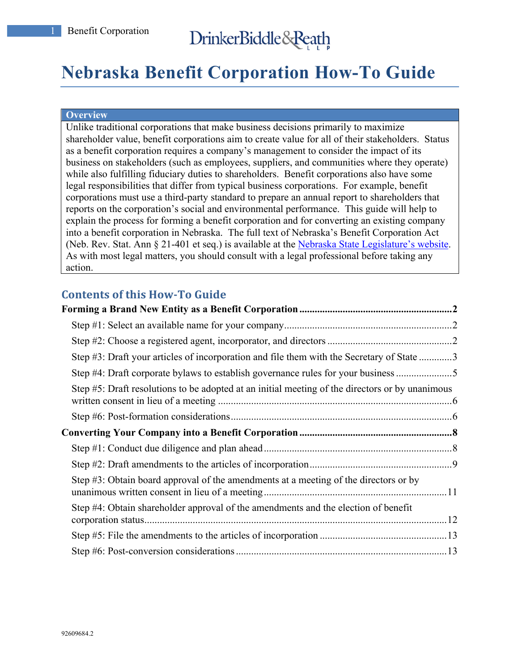# **Nebraska Benefit Corporation How-To Guide**

#### **Overview**

Unlike traditional corporations that make business decisions primarily to maximize shareholder value, benefit corporations aim to create value for all of their stakeholders. Status as a benefit corporation requires a company's management to consider the impact of its business on stakeholders (such as employees, suppliers, and communities where they operate) while also fulfilling fiduciary duties to shareholders. Benefit corporations also have some legal responsibilities that differ from typical business corporations. For example, benefit corporations must use a third-party standard to prepare an annual report to shareholders that reports on the corporation's social and environmental performance. This guide will help to explain the process for forming a benefit corporation and for converting an existing company into a benefit corporation in Nebraska. The full text of Nebraska's Benefit Corporation Act (Neb. Rev. Stat. Ann § 21-401 et seq.) is available at the Nebraska State Legislature's website. As with most legal matters, you should consult with a legal professional before taking any action.

# **Contents of this How-To Guide**

| Step #3: Draft your articles of incorporation and file them with the Secretary of State 3       |  |
|-------------------------------------------------------------------------------------------------|--|
| Step #4: Draft corporate bylaws to establish governance rules for your business                 |  |
| Step #5: Draft resolutions to be adopted at an initial meeting of the directors or by unanimous |  |
|                                                                                                 |  |
|                                                                                                 |  |
|                                                                                                 |  |
|                                                                                                 |  |
| Step #3: Obtain board approval of the amendments at a meeting of the directors or by            |  |
| Step #4: Obtain shareholder approval of the amendments and the election of benefit              |  |
|                                                                                                 |  |
|                                                                                                 |  |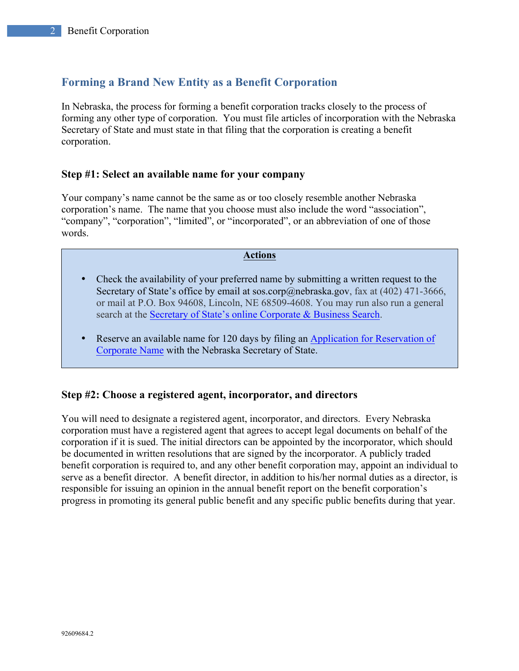# **Forming a Brand New Entity as a Benefit Corporation**

In Nebraska, the process for forming a benefit corporation tracks closely to the process of forming any other type of corporation. You must file articles of incorporation with the Nebraska Secretary of State and must state in that filing that the corporation is creating a benefit corporation.

## **Step #1: Select an available name for your company**

Your company's name cannot be the same as or too closely resemble another Nebraska corporation's name. The name that you choose must also include the word "association", "company", "corporation", "limited", or "incorporated", or an abbreviation of one of those words.

#### **Actions**

- Check the availability of your preferred name by submitting a written request to the Secretary of State's office by email at sos.corp@nebraska.gov, fax at  $(402)$  471-3666, or mail at P.O. Box 94608, Lincoln, NE 68509-4608. You may run also run a general search at the Secretary of State's online Corporate & Business Search.
- Reserve an available name for 120 days by filing an Application for Reservation of Corporate Name with the Nebraska Secretary of State.

# **Step #2: Choose a registered agent, incorporator, and directors**

You will need to designate a registered agent, incorporator, and directors. Every Nebraska corporation must have a registered agent that agrees to accept legal documents on behalf of the corporation if it is sued. The initial directors can be appointed by the incorporator, which should be documented in written resolutions that are signed by the incorporator. A publicly traded benefit corporation is required to, and any other benefit corporation may, appoint an individual to serve as a benefit director. A benefit director, in addition to his/her normal duties as a director, is responsible for issuing an opinion in the annual benefit report on the benefit corporation's progress in promoting its general public benefit and any specific public benefits during that year.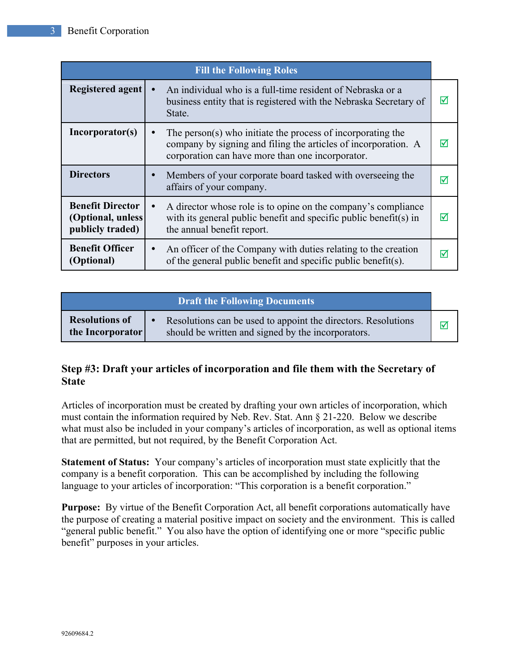|                                                                   | <b>Fill the Following Roles</b>                                                                                                                                                                |   |
|-------------------------------------------------------------------|------------------------------------------------------------------------------------------------------------------------------------------------------------------------------------------------|---|
| Registered agent                                                  | An individual who is a full-time resident of Nebraska or a<br>business entity that is registered with the Nebraska Secretary of<br>State.                                                      | ⊠ |
| Incorporator(s)                                                   | The person(s) who initiate the process of incorporating the<br>$\bullet$<br>company by signing and filing the articles of incorporation. A<br>corporation can have more than one incorporator. | ∇ |
| <b>Directors</b>                                                  | Members of your corporate board tasked with overseeing the<br>$\bullet$<br>affairs of your company.                                                                                            | ☑ |
| <b>Benefit Director</b><br>(Optional, unless)<br>publicly traded) | A director whose role is to opine on the company's compliance<br>$\bullet$<br>with its general public benefit and specific public benefit(s) in<br>the annual benefit report.                  | ☑ |
| <b>Benefit Officer</b><br>(Optional)                              | An officer of the Company with duties relating to the creation<br>$\bullet$<br>of the general public benefit and specific public benefit(s).                                                   | M |

|                                           | Draft the Following Documents                                                                                       |  |
|-------------------------------------------|---------------------------------------------------------------------------------------------------------------------|--|
| <b>Resolutions of</b><br>the Incorporator | Resolutions can be used to appoint the directors. Resolutions<br>should be written and signed by the incorporators. |  |

# **Step #3: Draft your articles of incorporation and file them with the Secretary of State**

Articles of incorporation must be created by drafting your own articles of incorporation, which must contain the information required by Neb. Rev. Stat. Ann § 21-220. Below we describe what must also be included in your company's articles of incorporation, as well as optional items that are permitted, but not required, by the Benefit Corporation Act.

**Statement of Status:** Your company's articles of incorporation must state explicitly that the company is a benefit corporation. This can be accomplished by including the following language to your articles of incorporation: "This corporation is a benefit corporation."

**Purpose:** By virtue of the Benefit Corporation Act, all benefit corporations automatically have the purpose of creating a material positive impact on society and the environment. This is called "general public benefit." You also have the option of identifying one or more "specific public benefit" purposes in your articles.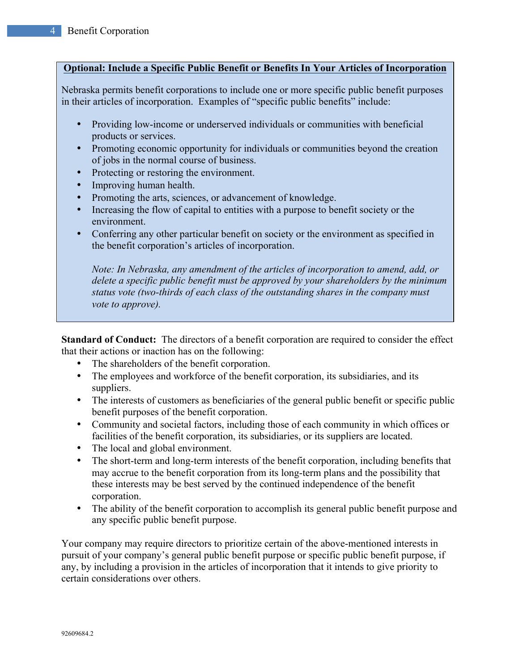## **Optional: Include a Specific Public Benefit or Benefits In Your Articles of Incorporation**

Nebraska permits benefit corporations to include one or more specific public benefit purposes in their articles of incorporation. Examples of "specific public benefits" include:

- Providing low-income or underserved individuals or communities with beneficial products or services.
- Promoting economic opportunity for individuals or communities beyond the creation of jobs in the normal course of business.
- Protecting or restoring the environment.
- Improving human health.
- Promoting the arts, sciences, or advancement of knowledge.
- Increasing the flow of capital to entities with a purpose to benefit society or the environment.
- Conferring any other particular benefit on society or the environment as specified in the benefit corporation's articles of incorporation.

*Note: In Nebraska, any amendment of the articles of incorporation to amend, add, or delete a specific public benefit must be approved by your shareholders by the minimum status vote (two-thirds of each class of the outstanding shares in the company must vote to approve).*

**Standard of Conduct:** The directors of a benefit corporation are required to consider the effect that their actions or inaction has on the following:

- The shareholders of the benefit corporation.
- The employees and workforce of the benefit corporation, its subsidiaries, and its suppliers.
- The interests of customers as beneficiaries of the general public benefit or specific public benefit purposes of the benefit corporation.
- Community and societal factors, including those of each community in which offices or facilities of the benefit corporation, its subsidiaries, or its suppliers are located.
- The local and global environment.
- The short-term and long-term interests of the benefit corporation, including benefits that may accrue to the benefit corporation from its long-term plans and the possibility that these interests may be best served by the continued independence of the benefit corporation.
- The ability of the benefit corporation to accomplish its general public benefit purpose and any specific public benefit purpose.

Your company may require directors to prioritize certain of the above-mentioned interests in pursuit of your company's general public benefit purpose or specific public benefit purpose, if any, by including a provision in the articles of incorporation that it intends to give priority to certain considerations over others.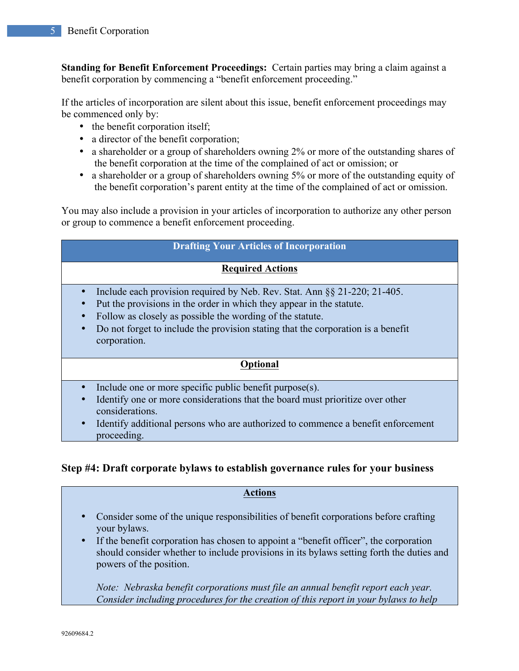**Standing for Benefit Enforcement Proceedings:** Certain parties may bring a claim against a benefit corporation by commencing a "benefit enforcement proceeding."

If the articles of incorporation are silent about this issue, benefit enforcement proceedings may be commenced only by:

- the benefit corporation itself;
- a director of the benefit corporation;
- a shareholder or a group of shareholders owning 2% or more of the outstanding shares of the benefit corporation at the time of the complained of act or omission; or
- a shareholder or a group of shareholders owning 5% or more of the outstanding equity of the benefit corporation's parent entity at the time of the complained of act or omission.

You may also include a provision in your articles of incorporation to authorize any other person or group to commence a benefit enforcement proceeding.

## **Drafting Your Articles of Incorporation**

## **Required Actions**

- Include each provision required by Neb. Rev. Stat. Ann §§ 21-220; 21-405.
- Put the provisions in the order in which they appear in the statute.
- Follow as closely as possible the wording of the statute.
- Do not forget to include the provision stating that the corporation is a benefit corporation.

## **Optional**

- Include one or more specific public benefit purpose(s).
- Identify one or more considerations that the board must prioritize over other considerations.
- Identify additional persons who are authorized to commence a benefit enforcement proceeding.

# **Step #4: Draft corporate bylaws to establish governance rules for your business**

#### **Actions**

- Consider some of the unique responsibilities of benefit corporations before crafting your bylaws.
- If the benefit corporation has chosen to appoint a "benefit officer", the corporation should consider whether to include provisions in its bylaws setting forth the duties and powers of the position.

*Note: Nebraska benefit corporations must file an annual benefit report each year. Consider including procedures for the creation of this report in your bylaws to help*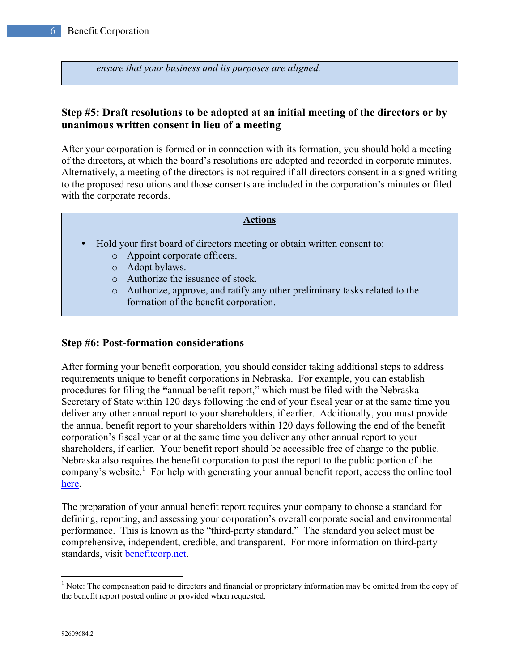*ensure that your business and its purposes are aligned.* 

# **Step #5: Draft resolutions to be adopted at an initial meeting of the directors or by unanimous written consent in lieu of a meeting**

After your corporation is formed or in connection with its formation, you should hold a meeting of the directors, at which the board's resolutions are adopted and recorded in corporate minutes. Alternatively, a meeting of the directors is not required if all directors consent in a signed writing to the proposed resolutions and those consents are included in the corporation's minutes or filed with the corporate records.

### **Actions**

- Hold your first board of directors meeting or obtain written consent to:
	- o Appoint corporate officers.
	- o Adopt bylaws.
	- o Authorize the issuance of stock.
	- o Authorize, approve, and ratify any other preliminary tasks related to the formation of the benefit corporation.

## **Step #6: Post-formation considerations**

After forming your benefit corporation, you should consider taking additional steps to address requirements unique to benefit corporations in Nebraska. For example, you can establish procedures for filing the **"**annual benefit report," which must be filed with the Nebraska Secretary of State within 120 days following the end of your fiscal year or at the same time you deliver any other annual report to your shareholders, if earlier. Additionally, you must provide the annual benefit report to your shareholders within 120 days following the end of the benefit corporation's fiscal year or at the same time you deliver any other annual report to your shareholders, if earlier. Your benefit report should be accessible free of charge to the public. Nebraska also requires the benefit corporation to post the report to the public portion of the company's website.<sup>1</sup> For help with generating your annual benefit report, access the online tool here.

The preparation of your annual benefit report requires your company to choose a standard for defining, reporting, and assessing your corporation's overall corporate social and environmental performance. This is known as the "third-party standard." The standard you select must be comprehensive, independent, credible, and transparent. For more information on third-party standards, visit benefitcorp.net.

<sup>&</sup>lt;sup>1</sup> Note: The compensation paid to directors and financial or proprietary information may be omitted from the copy of the benefit report posted online or provided when requested.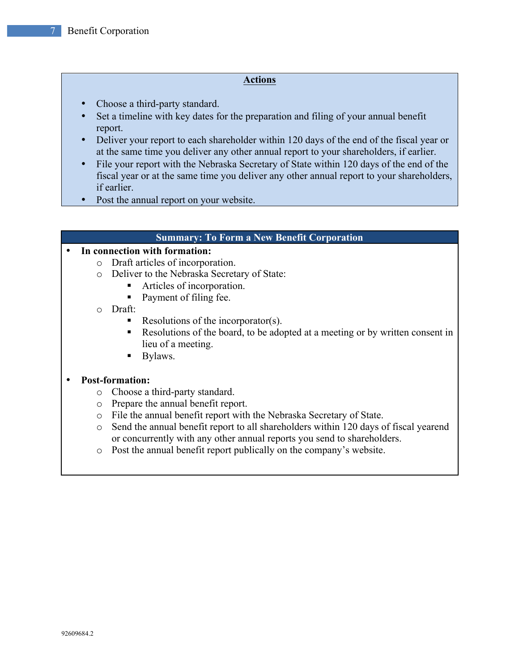#### **Actions**

- Choose a third-party standard.
- Set a timeline with key dates for the preparation and filing of your annual benefit report.
- Deliver your report to each shareholder within 120 days of the end of the fiscal year or at the same time you deliver any other annual report to your shareholders, if earlier.
- File your report with the Nebraska Secretary of State within 120 days of the end of the fiscal year or at the same time you deliver any other annual report to your shareholders, if earlier.
- Post the annual report on your website.

#### **Summary: To Form a New Benefit Corporation**

## • **In connection with formation:**

- o Draft articles of incorporation.
- o Deliver to the Nebraska Secretary of State:
	- Articles of incorporation.
	- Payment of filing fee.
- o Draft:
	- Resolutions of the incorporator(s).
	- Resolutions of the board, to be adopted at a meeting or by written consent in lieu of a meeting.
	- Bylaws.

## • **Post-formation:**

- o Choose a third-party standard.
- o Prepare the annual benefit report.
- o File the annual benefit report with the Nebraska Secretary of State.
- o Send the annual benefit report to all shareholders within 120 days of fiscal yearend or concurrently with any other annual reports you send to shareholders.
- o Post the annual benefit report publically on the company's website.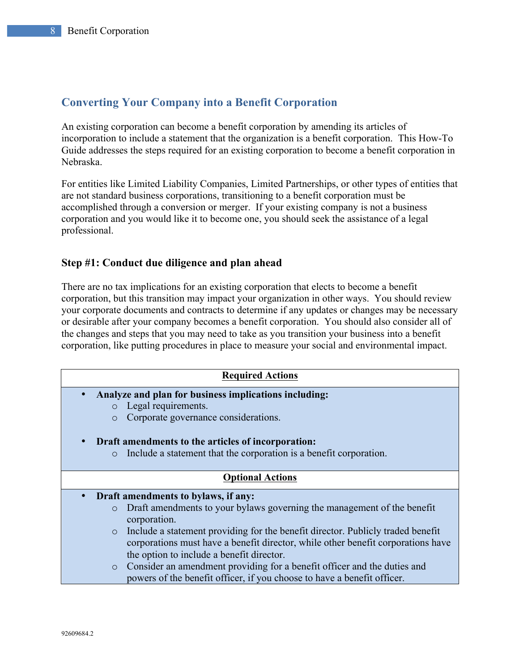# **Converting Your Company into a Benefit Corporation**

An existing corporation can become a benefit corporation by amending its articles of incorporation to include a statement that the organization is a benefit corporation. This How-To Guide addresses the steps required for an existing corporation to become a benefit corporation in Nebraska.

For entities like Limited Liability Companies, Limited Partnerships, or other types of entities that are not standard business corporations, transitioning to a benefit corporation must be accomplished through a conversion or merger. If your existing company is not a business corporation and you would like it to become one, you should seek the assistance of a legal professional.

## **Step #1: Conduct due diligence and plan ahead**

There are no tax implications for an existing corporation that elects to become a benefit corporation, but this transition may impact your organization in other ways. You should review your corporate documents and contracts to determine if any updates or changes may be necessary or desirable after your company becomes a benefit corporation. You should also consider all of the changes and steps that you may need to take as you transition your business into a benefit corporation, like putting procedures in place to measure your social and environmental impact.

| <b>Required Actions</b>                                                                                                                                                        |  |  |
|--------------------------------------------------------------------------------------------------------------------------------------------------------------------------------|--|--|
| Analyze and plan for business implications including:                                                                                                                          |  |  |
| Legal requirements.<br>$\circ$                                                                                                                                                 |  |  |
| Corporate governance considerations.<br>$\circ$                                                                                                                                |  |  |
| Draft amendments to the articles of incorporation:                                                                                                                             |  |  |
| Include a statement that the corporation is a benefit corporation.<br>$\circ$                                                                                                  |  |  |
| <b>Optional Actions</b>                                                                                                                                                        |  |  |
| Draft amendments to bylaws, if any:                                                                                                                                            |  |  |
| Draft amendments to your bylaws governing the management of the benefit<br>$\circ$<br>corporation.                                                                             |  |  |
| Include a statement providing for the benefit director. Publicly traded benefit<br>$\circ$<br>corporations must have a benefit director, while other benefit corporations have |  |  |
| the option to include a benefit director.                                                                                                                                      |  |  |
| Consider an amendment providing for a benefit officer and the duties and<br>$\circ$                                                                                            |  |  |
| powers of the benefit officer, if you choose to have a benefit officer.                                                                                                        |  |  |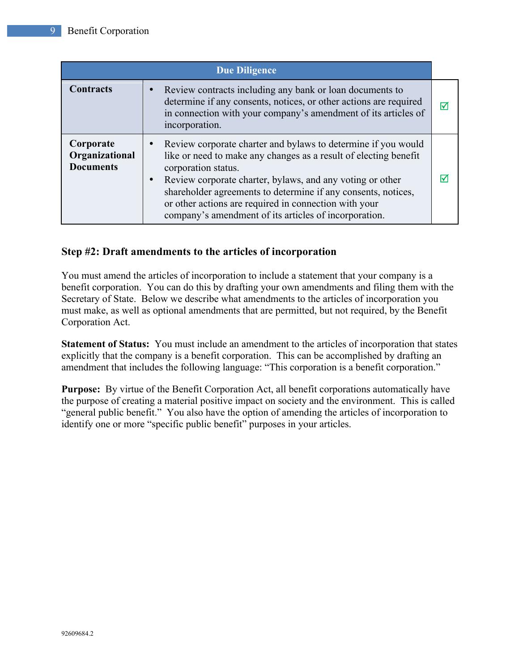|                                                 | <b>Due Diligence</b>                                                                                                                                                                                                                                                                                                                                                                                     |   |
|-------------------------------------------------|----------------------------------------------------------------------------------------------------------------------------------------------------------------------------------------------------------------------------------------------------------------------------------------------------------------------------------------------------------------------------------------------------------|---|
| <b>Contracts</b>                                | Review contracts including any bank or loan documents to<br>determine if any consents, notices, or other actions are required<br>in connection with your company's amendment of its articles of<br>incorporation.                                                                                                                                                                                        | ⋈ |
| Corporate<br>Organizational<br><b>Documents</b> | Review corporate charter and bylaws to determine if you would<br>like or need to make any changes as a result of electing benefit<br>corporation status.<br>Review corporate charter, bylaws, and any voting or other<br>shareholder agreements to determine if any consents, notices,<br>or other actions are required in connection with your<br>company's amendment of its articles of incorporation. | ∇ |

# **Step #2: Draft amendments to the articles of incorporation**

You must amend the articles of incorporation to include a statement that your company is a benefit corporation. You can do this by drafting your own amendments and filing them with the Secretary of State. Below we describe what amendments to the articles of incorporation you must make, as well as optional amendments that are permitted, but not required, by the Benefit Corporation Act.

**Statement of Status:** You must include an amendment to the articles of incorporation that states explicitly that the company is a benefit corporation. This can be accomplished by drafting an amendment that includes the following language: "This corporation is a benefit corporation."

**Purpose:** By virtue of the Benefit Corporation Act, all benefit corporations automatically have the purpose of creating a material positive impact on society and the environment. This is called "general public benefit." You also have the option of amending the articles of incorporation to identify one or more "specific public benefit" purposes in your articles.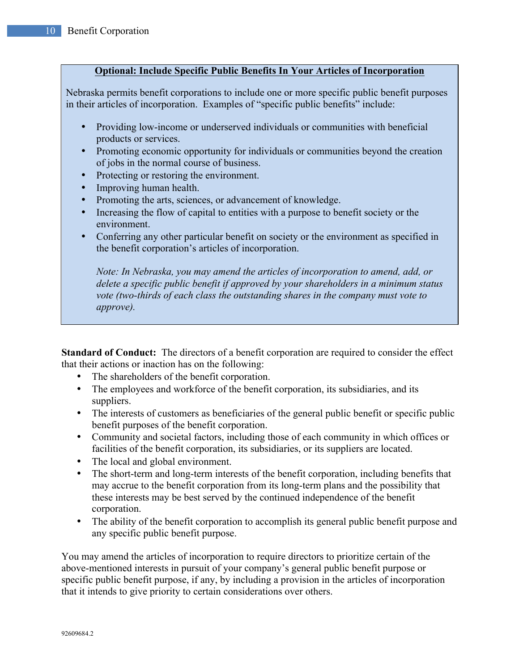## **Optional: Include Specific Public Benefits In Your Articles of Incorporation**

Nebraska permits benefit corporations to include one or more specific public benefit purposes in their articles of incorporation. Examples of "specific public benefits" include:

- Providing low-income or underserved individuals or communities with beneficial products or services.
- Promoting economic opportunity for individuals or communities beyond the creation of jobs in the normal course of business.
- Protecting or restoring the environment.
- Improving human health.
- Promoting the arts, sciences, or advancement of knowledge.
- Increasing the flow of capital to entities with a purpose to benefit society or the environment.
- Conferring any other particular benefit on society or the environment as specified in the benefit corporation's articles of incorporation.

*Note: In Nebraska, you may amend the articles of incorporation to amend, add, or delete a specific public benefit if approved by your shareholders in a minimum status vote (two-thirds of each class the outstanding shares in the company must vote to approve).* 

**Standard of Conduct:** The directors of a benefit corporation are required to consider the effect that their actions or inaction has on the following:

- The shareholders of the benefit corporation.
- The employees and workforce of the benefit corporation, its subsidiaries, and its suppliers.
- The interests of customers as beneficiaries of the general public benefit or specific public benefit purposes of the benefit corporation.
- Community and societal factors, including those of each community in which offices or facilities of the benefit corporation, its subsidiaries, or its suppliers are located.
- The local and global environment.
- The short-term and long-term interests of the benefit corporation, including benefits that may accrue to the benefit corporation from its long-term plans and the possibility that these interests may be best served by the continued independence of the benefit corporation.
- The ability of the benefit corporation to accomplish its general public benefit purpose and any specific public benefit purpose.

You may amend the articles of incorporation to require directors to prioritize certain of the above-mentioned interests in pursuit of your company's general public benefit purpose or specific public benefit purpose, if any, by including a provision in the articles of incorporation that it intends to give priority to certain considerations over others.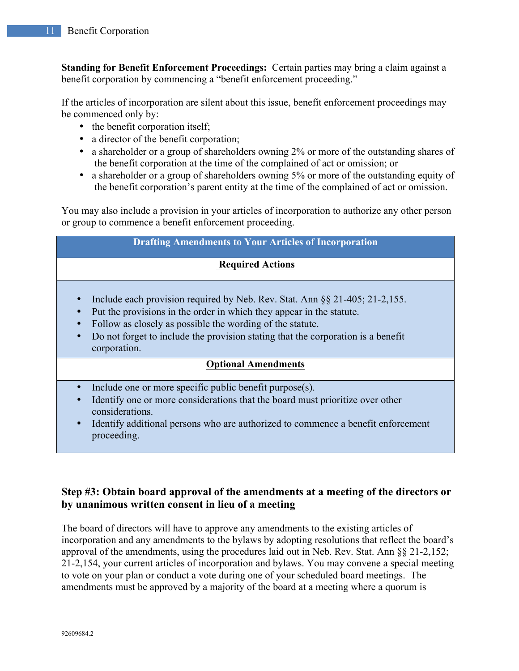**Standing for Benefit Enforcement Proceedings:** Certain parties may bring a claim against a benefit corporation by commencing a "benefit enforcement proceeding."

If the articles of incorporation are silent about this issue, benefit enforcement proceedings may be commenced only by:

- the benefit corporation itself;
- a director of the benefit corporation;
- a shareholder or a group of shareholders owning 2% or more of the outstanding shares of the benefit corporation at the time of the complained of act or omission; or
- a shareholder or a group of shareholders owning 5% or more of the outstanding equity of the benefit corporation's parent entity at the time of the complained of act or omission.

You may also include a provision in your articles of incorporation to authorize any other person or group to commence a benefit enforcement proceeding.

| <b>Drafting Amendments to Your Articles of Incorporation</b>                                                                                                                                                                                                                                                                                                             |  |  |  |  |
|--------------------------------------------------------------------------------------------------------------------------------------------------------------------------------------------------------------------------------------------------------------------------------------------------------------------------------------------------------------------------|--|--|--|--|
| <b>Required Actions</b>                                                                                                                                                                                                                                                                                                                                                  |  |  |  |  |
| Include each provision required by Neb. Rev. Stat. Ann §§ 21-405; 21-2,155.<br>$\bullet$<br>Put the provisions in the order in which they appear in the statute.<br>$\bullet$<br>Follow as closely as possible the wording of the statute.<br>$\bullet$<br>Do not forget to include the provision stating that the corporation is a benefit<br>$\bullet$<br>corporation. |  |  |  |  |
| <b>Optional Amendments</b>                                                                                                                                                                                                                                                                                                                                               |  |  |  |  |
| Include one or more specific public benefit purpose(s).<br>Identify one or more considerations that the board must prioritize over other<br>$\bullet$<br>considerations.                                                                                                                                                                                                 |  |  |  |  |

• Identify additional persons who are authorized to commence a benefit enforcement proceeding.

# **Step #3: Obtain board approval of the amendments at a meeting of the directors or by unanimous written consent in lieu of a meeting**

The board of directors will have to approve any amendments to the existing articles of incorporation and any amendments to the bylaws by adopting resolutions that reflect the board's approval of the amendments, using the procedures laid out in Neb. Rev. Stat. Ann §§ 21-2,152; 21-2,154, your current articles of incorporation and bylaws. You may convene a special meeting to vote on your plan or conduct a vote during one of your scheduled board meetings. The amendments must be approved by a majority of the board at a meeting where a quorum is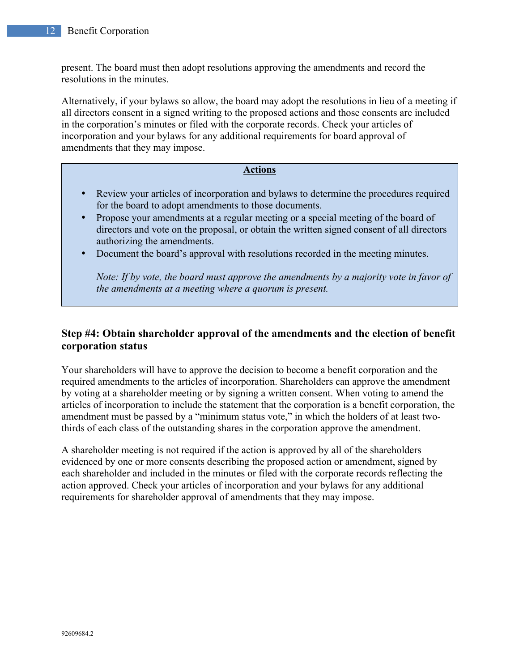present. The board must then adopt resolutions approving the amendments and record the resolutions in the minutes.

Alternatively, if your bylaws so allow, the board may adopt the resolutions in lieu of a meeting if all directors consent in a signed writing to the proposed actions and those consents are included in the corporation's minutes or filed with the corporate records. Check your articles of incorporation and your bylaws for any additional requirements for board approval of amendments that they may impose.

#### **Actions**

- Review your articles of incorporation and bylaws to determine the procedures required for the board to adopt amendments to those documents.
- Propose your amendments at a regular meeting or a special meeting of the board of directors and vote on the proposal, or obtain the written signed consent of all directors authorizing the amendments.
- Document the board's approval with resolutions recorded in the meeting minutes.

*Note: If by vote, the board must approve the amendments by a majority vote in favor of the amendments at a meeting where a quorum is present.*

# **Step #4: Obtain shareholder approval of the amendments and the election of benefit corporation status**

Your shareholders will have to approve the decision to become a benefit corporation and the required amendments to the articles of incorporation. Shareholders can approve the amendment by voting at a shareholder meeting or by signing a written consent. When voting to amend the articles of incorporation to include the statement that the corporation is a benefit corporation, the amendment must be passed by a "minimum status vote," in which the holders of at least twothirds of each class of the outstanding shares in the corporation approve the amendment.

A shareholder meeting is not required if the action is approved by all of the shareholders evidenced by one or more consents describing the proposed action or amendment, signed by each shareholder and included in the minutes or filed with the corporate records reflecting the action approved. Check your articles of incorporation and your bylaws for any additional requirements for shareholder approval of amendments that they may impose.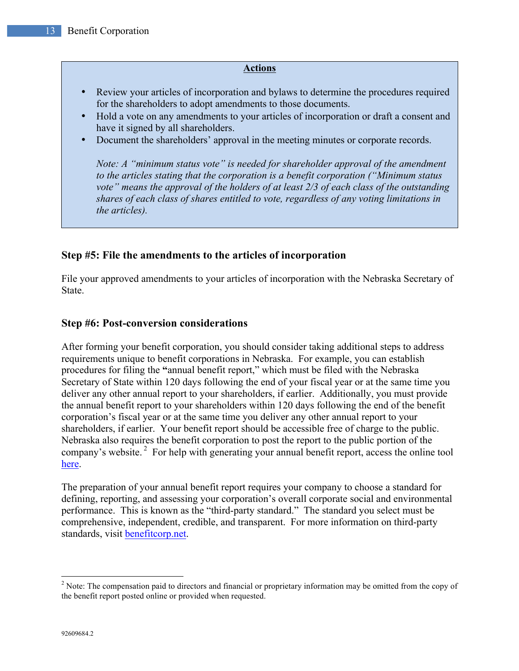#### **Actions**

- Review your articles of incorporation and bylaws to determine the procedures required for the shareholders to adopt amendments to those documents.
- Hold a vote on any amendments to your articles of incorporation or draft a consent and have it signed by all shareholders.
- Document the shareholders' approval in the meeting minutes or corporate records.

*Note: A "minimum status vote" is needed for shareholder approval of the amendment to the articles stating that the corporation is a benefit corporation ("Minimum status vote" means the approval of the holders of at least 2/3 of each class of the outstanding shares of each class of shares entitled to vote, regardless of any voting limitations in the articles).*

# **Step #5: File the amendments to the articles of incorporation**

File your approved amendments to your articles of incorporation with the Nebraska Secretary of State.

# **Step #6: Post-conversion considerations**

After forming your benefit corporation, you should consider taking additional steps to address requirements unique to benefit corporations in Nebraska. For example, you can establish procedures for filing the **"**annual benefit report," which must be filed with the Nebraska Secretary of State within 120 days following the end of your fiscal year or at the same time you deliver any other annual report to your shareholders, if earlier. Additionally, you must provide the annual benefit report to your shareholders within 120 days following the end of the benefit corporation's fiscal year or at the same time you deliver any other annual report to your shareholders, if earlier. Your benefit report should be accessible free of charge to the public. Nebraska also requires the benefit corporation to post the report to the public portion of the company's website.<sup>2</sup> For help with generating your annual benefit report, access the online tool here.

The preparation of your annual benefit report requires your company to choose a standard for defining, reporting, and assessing your corporation's overall corporate social and environmental performance. This is known as the "third-party standard." The standard you select must be comprehensive, independent, credible, and transparent. For more information on third-party standards, visit benefitcorp.net.

<sup>&</sup>lt;sup>2</sup> Note: The compensation paid to directors and financial or proprietary information may be omitted from the copy of the benefit report posted online or provided when requested.